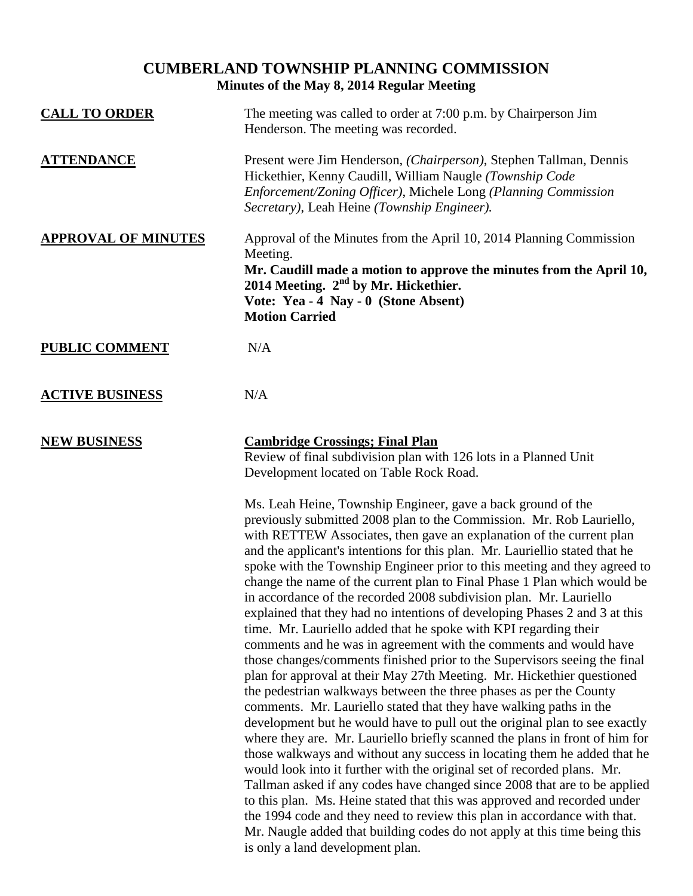## **CUMBERLAND TOWNSHIP PLANNING COMMISSION Minutes of the May 8, 2014 Regular Meeting**

| <b>CALL TO ORDER</b>       | The meeting was called to order at 7:00 p.m. by Chairperson Jim<br>Henderson. The meeting was recorded.                                                                                                                                                                                                                                                             |
|----------------------------|---------------------------------------------------------------------------------------------------------------------------------------------------------------------------------------------------------------------------------------------------------------------------------------------------------------------------------------------------------------------|
| <b>ATTENDANCE</b>          | Present were Jim Henderson, (Chairperson), Stephen Tallman, Dennis<br>Hickethier, Kenny Caudill, William Naugle (Township Code<br>Enforcement/Zoning Officer), Michele Long (Planning Commission<br>Secretary), Leah Heine (Township Engineer).                                                                                                                     |
| <b>APPROVAL OF MINUTES</b> | Approval of the Minutes from the April 10, 2014 Planning Commission<br>Meeting.<br>Mr. Caudill made a motion to approve the minutes from the April 10,<br>2014 Meeting. $2nd$ by Mr. Hickethier.<br>Vote: Yea - 4 Nay - 0 (Stone Absent)<br><b>Motion Carried</b>                                                                                                   |
| <b>PUBLIC COMMENT</b>      | N/A                                                                                                                                                                                                                                                                                                                                                                 |
| <b>ACTIVE BUSINESS</b>     | N/A                                                                                                                                                                                                                                                                                                                                                                 |
| <b>NEW BUSINESS</b>        | <b>Cambridge Crossings; Final Plan</b><br>Review of final subdivision plan with 126 lots in a Planned Unit<br>Development located on Table Rock Road.<br>Ms. Leah Heine, Township Engineer, gave a back ground of the<br>previously submitted 2008 plan to the Commission. Mr. Rob Lauriello,<br>with DETTEW According then cave an evalenction of the current plan |

with RETTEW Associates, then gave an explanation of the current plan and the applicant's intentions for this plan. Mr. Lauriellio stated that he spoke with the Township Engineer prior to this meeting and they agreed to change the name of the current plan to Final Phase 1 Plan which would be in accordance of the recorded 2008 subdivision plan. Mr. Lauriello explained that they had no intentions of developing Phases 2 and 3 at this time. Mr. Lauriello added that he spoke with KPI regarding their comments and he was in agreement with the comments and would have those changes/comments finished prior to the Supervisors seeing the final plan for approval at their May 27th Meeting. Mr. Hickethier questioned the pedestrian walkways between the three phases as per the County comments. Mr. Lauriello stated that they have walking paths in the development but he would have to pull out the original plan to see exactly where they are. Mr. Lauriello briefly scanned the plans in front of him for those walkways and without any success in locating them he added that he would look into it further with the original set of recorded plans. Mr. Tallman asked if any codes have changed since 2008 that are to be applied to this plan. Ms. Heine stated that this was approved and recorded under the 1994 code and they need to review this plan in accordance with that. Mr. Naugle added that building codes do not apply at this time being this is only a land development plan.